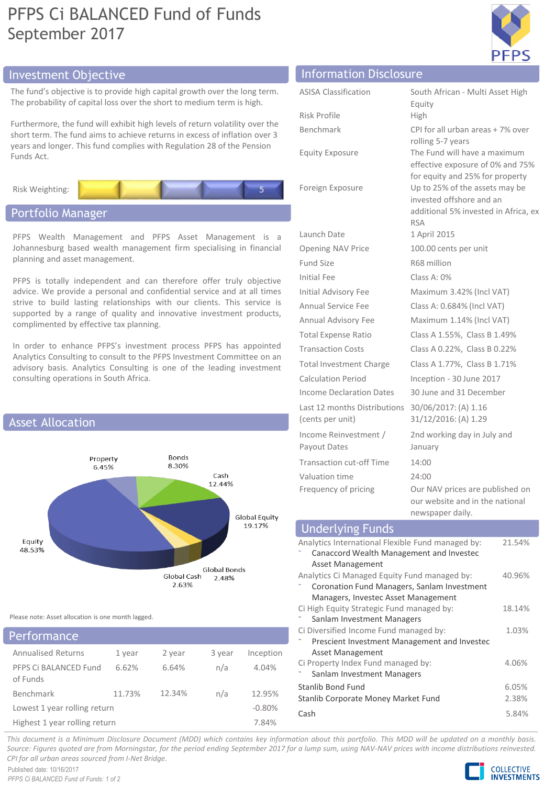## PFPS Ci BALANCED Fund of Funds September 2017



## Investment Objective Information Disclosure Information Disclosure

The fund's objective is to provide high capital growth over the I The probability of capital loss over the short to medium term is

Furthermore, the fund will exhibit high levels of return volatility short term. The fund aims to achieve returns in excess of inflation years and longer. This fund complies with Regulation 28 of the F Funds Act.

Risk Weighting:

### Portfolio Manager

PFPS Wealth Management and PFPS Asset Managem Johannesburg based wealth management firm specialising in planning and asset management.

PFPS is totally independent and can therefore offer truly advice. We provide a personal and confidential service and at strive to build lasting relationships with our clients. This supported by a range of quality and innovative investment complimented by effective tax planning.

In order to enhance PFPS's investment process PFPS has appointed Analytics Consulting to consult to the PFPS Investment Committee on an advisory basis. Analytics Consulting is one of the leading investment consulting operations in South Africa.



Please note: Asset allocation is one month lagged.

| Performance                       |        |        |        |           |
|-----------------------------------|--------|--------|--------|-----------|
| <b>Annualised Returns</b>         | 1 year | 2 year | 3 year | Inception |
| PFPS Ci BALANCED Fund<br>of Funds | 6.62%  | 6.64%  | n/a    | 4.04%     |
| Benchmark                         | 11.73% | 12.34% | n/a    | 12.95%    |
| Lowest 1 year rolling return      |        |        |        | $-0.80%$  |
| Highest 1 year rolling return     |        |        |        | 7.84%     |

|                                                     |                             | information pisclosure                                                                                           |  |  |  |
|-----------------------------------------------------|-----------------------------|------------------------------------------------------------------------------------------------------------------|--|--|--|
| ong term.<br>high.                                  | <b>ASISA Classification</b> | South African - Multi Asset High<br>Equity                                                                       |  |  |  |
|                                                     | Risk Profile                | High                                                                                                             |  |  |  |
| over the $\,$<br>on over 3<br>Pension               | Benchmark                   | CPI for all urban areas + 7% over<br>rolling 5-7 years                                                           |  |  |  |
|                                                     | <b>Equity Exposure</b>      | The Fund will have a maximum<br>effective exposure of 0% and 75%<br>for equity and 25% for property              |  |  |  |
| 5 <sup>1</sup>                                      | Foreign Exposure            | Up to 25% of the assets may be<br>invested offshore and an<br>additional 5% invested in Africa, ex<br><b>RSA</b> |  |  |  |
| ent is a<br>n financial                             | Launch Date                 | 1 April 2015                                                                                                     |  |  |  |
|                                                     | Opening NAV Price           | 100.00 cents per unit                                                                                            |  |  |  |
|                                                     | Fund Size                   | R68 million                                                                                                      |  |  |  |
| objective<br>t all times<br>service is<br>products, | Initial Fee                 | Class A: $0\%$                                                                                                   |  |  |  |
|                                                     | Initial Advisory Fee        | Maximum 3.42% (Incl VAT)                                                                                         |  |  |  |
|                                                     | Annual Service Fee          | Class A: 0.684% (Incl VAT)                                                                                       |  |  |  |
|                                                     | Annual Advisory Fee         | Maximum 1.14% (Incl VAT)                                                                                         |  |  |  |
|                                                     | <b>Total Expense Ratio</b>  | Class A 1.55%, Class B 1.49%                                                                                     |  |  |  |

Transaction Costs Class A 0.22%, Class B 0.22% Total Investment Charge Class A 1.77%, Class B 1.71% Calculation Period Inception - 30 June 2017 Income Declaration Dates 30 June and 31 December

31/12/2016: (A) 1.29

newspaper daily.

January

⁻ Canaccord Wealth Management and Investec

⁻ Coronation Fund Managers, Sanlam Investment Managers, Investec Asset Management

⁻ Prescient Investment Management and Investec

Stanlib Bond Fund 6.05% Stanlib Corporate Money Market Fund 2.38% Cash 5.84%

Ci High Equity Strategic Fund managed by: Sanlam Investment Managers

Ci Diversified Income Fund managed by:

Ci Property Index Fund managed by: Sanlam Investment Managers

Asset Management

Asset Management

2nd working day in July and

our website and in the national

This document is a Minimum Disclosure Document (MDD) which contains key information about this portfolio. This MDD will be updated on a monthly basis. Source: Figures quoted are from Morningstar, for the period ending September 2017 for a lump sum, using NAV-NAV prices with income distributions reinvested. *CPI for all urban areas sourced from I-Net Bridge.*

Published date: 10/16/2017 *PFPS Ci BALANCED Fund of Funds: 1 of 2*



21.54%

40.96%

18.14%

1.03%

4.06%